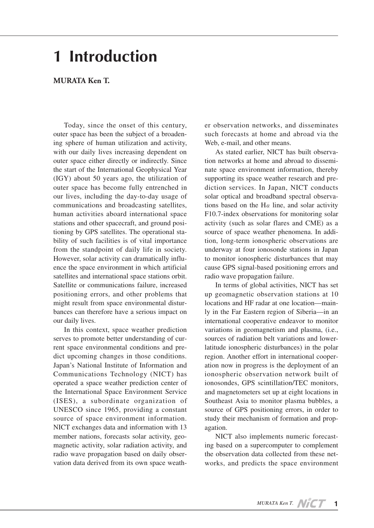## **Introduction 1**

## **MURATA** Ken T.

Today, since the onset of this century, ing sphere of human utilization and activity, outer space has been the subject of a broadenwith our daily lives increasing dependent on outer space either directly or indirectly. Since the start of the International Geophysical Year  $(IGY)$  about 50 years ago, the utilization of outer space has become fully entrenched in our lives, including the day-to-day usage of communications and broadcasting satellites, human activities aboard international space bility of such facilities is of vital importance tioning by GPS satellites. The operational stastations and other spacecraft, and ground posifrom the standpoint of daily life in society. ence the space environment in which artificial However, solar activity can dramatically influsatellites and international space stations orbit. Satellite or communications failure, increased positioning errors, and other problems that bances can therefore have a serious impact on might result from space environmental disturour daily lives.

In this context, space weather prediction rent space environmental conditions and pre-<br>dict upcoming changes in those conditions. serves to promote better understanding of current space environmental conditions and preserves to promote better understanding of cur-Japan's National Institute of Information and Communications Technology (NICT) has operated a space weather prediction center of the International Space Environment Service  $(ISES)$ , a subordinate organization of UNESCO since  $1965$ , providing a constant source of space environment information. NICT exchanges data and information with 13 magnetic activity, solar radiation activity, and member nations, forecasts solar activity, georadio wave propagation based on daily observation data derived from its own space weathsuch forecasts at home and abroad via the Web e-mail and other means

nate space environment information, thereby tion networks at home and abroad to dissemi-As stated earlier. NICT has built observasupporting its space weather research and pre-<br>diction-services. In Japan, NICT conducts tions based on the H $\alpha$  line, and solar activity solar optical and broadband spectral observa-F10.7-index observations for monitoring solar activity (such as solar flares and CME) as a tion, long-term ionospheric observations are source of space weather phenomena. In addiunderway at four ionosonde stations in Japan to monitor ionospheric disturbances that may cause GPS signal-based positioning errors and radio wave propagation failure.

extraction networks, and disseminates<br>such forceasts at home and abroad via the<br>extracts at home and abroad via the<br>disseminates<br>in As stated earlier, NICT has built observa-<br>tion networks at home and abroad to dissemi-<br>na In terms of global activities, NICT has set up geomagnetic observation stations at 10 ly in the Far Eastern region of Siberia-in an locations and HF radar at one location-maininternational cooperative endeavor to monitor variations in geomagnetism and plasma, (i.e., latitude ionospheric disturbances) in the polar sources of radiation belt variations and loweration now in progress is the deployment of an region. Another effort in international cooperionospheric observation network built of ionosondes, GPS scintillation/TEC monitors, and magnetometers set up at eight locations in Southeast Asia to monitor plasma bubbles, a source of GPS positioning errors, in order to study their mechanism of formation and prop-<br>agation.

ing based on a supercomputer to complement NICT also implements numeric forecastworks, and predicts the space environment the observation data collected from these net